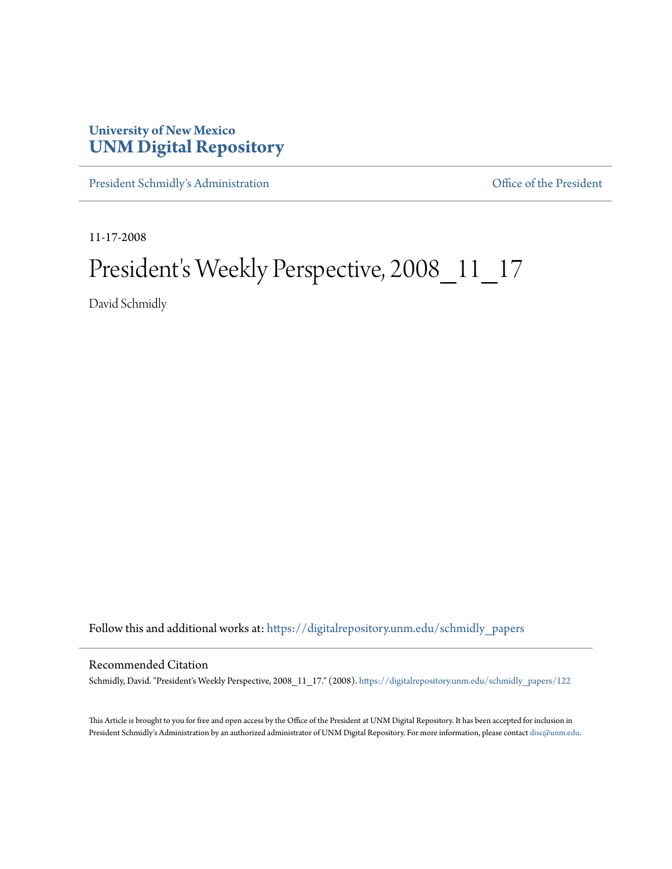## **University of New Mexico [UNM Digital Repository](https://digitalrepository.unm.edu?utm_source=digitalrepository.unm.edu%2Fschmidly_papers%2F122&utm_medium=PDF&utm_campaign=PDFCoverPages)**

[President Schmidly's Administration](https://digitalrepository.unm.edu/schmidly_papers?utm_source=digitalrepository.unm.edu%2Fschmidly_papers%2F122&utm_medium=PDF&utm_campaign=PDFCoverPages) [Office of the President](https://digitalrepository.unm.edu/ofc_president?utm_source=digitalrepository.unm.edu%2Fschmidly_papers%2F122&utm_medium=PDF&utm_campaign=PDFCoverPages)

11-17-2008

## President's Weekly Perspective, 2008\_11\_17

David Schmidly

Follow this and additional works at: [https://digitalrepository.unm.edu/schmidly\\_papers](https://digitalrepository.unm.edu/schmidly_papers?utm_source=digitalrepository.unm.edu%2Fschmidly_papers%2F122&utm_medium=PDF&utm_campaign=PDFCoverPages)

## Recommended Citation

Schmidly, David. "President's Weekly Perspective, 2008\_11\_17." (2008). [https://digitalrepository.unm.edu/schmidly\\_papers/122](https://digitalrepository.unm.edu/schmidly_papers/122?utm_source=digitalrepository.unm.edu%2Fschmidly_papers%2F122&utm_medium=PDF&utm_campaign=PDFCoverPages)

This Article is brought to you for free and open access by the Office of the President at UNM Digital Repository. It has been accepted for inclusion in President Schmidly's Administration by an authorized administrator of UNM Digital Repository. For more information, please contact [disc@unm.edu](mailto:disc@unm.edu).